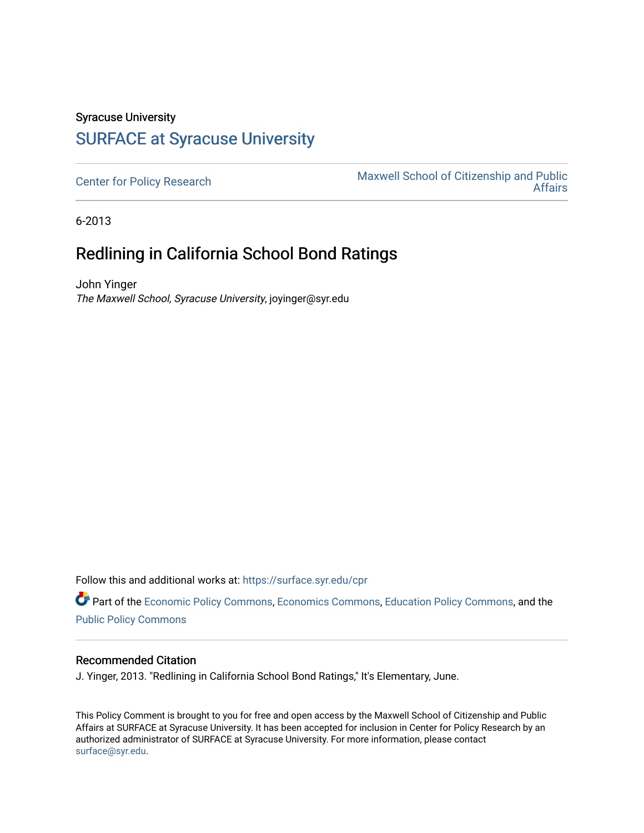## Syracuse University [SURFACE at Syracuse University](https://surface.syr.edu/)

[Center for Policy Research](https://surface.syr.edu/cpr) Maxwell School of Citizenship and Public<br>Affairs [Affairs](https://surface.syr.edu/maxwell) 

6-2013

## Redlining in California School Bond Ratings

John Yinger The Maxwell School, Syracuse University, joyinger@syr.edu

Follow this and additional works at: [https://surface.syr.edu/cpr](https://surface.syr.edu/cpr?utm_source=surface.syr.edu%2Fcpr%2F325&utm_medium=PDF&utm_campaign=PDFCoverPages) 

Part of the [Economic Policy Commons](http://network.bepress.com/hgg/discipline/1025?utm_source=surface.syr.edu%2Fcpr%2F325&utm_medium=PDF&utm_campaign=PDFCoverPages), [Economics Commons,](http://network.bepress.com/hgg/discipline/340?utm_source=surface.syr.edu%2Fcpr%2F325&utm_medium=PDF&utm_campaign=PDFCoverPages) [Education Policy Commons](http://network.bepress.com/hgg/discipline/1026?utm_source=surface.syr.edu%2Fcpr%2F325&utm_medium=PDF&utm_campaign=PDFCoverPages), and the [Public Policy Commons](http://network.bepress.com/hgg/discipline/400?utm_source=surface.syr.edu%2Fcpr%2F325&utm_medium=PDF&utm_campaign=PDFCoverPages)

## Recommended Citation

J. Yinger, 2013. "Redlining in California School Bond Ratings," It's Elementary, June.

This Policy Comment is brought to you for free and open access by the Maxwell School of Citizenship and Public Affairs at SURFACE at Syracuse University. It has been accepted for inclusion in Center for Policy Research by an authorized administrator of SURFACE at Syracuse University. For more information, please contact [surface@syr.edu.](mailto:surface@syr.edu)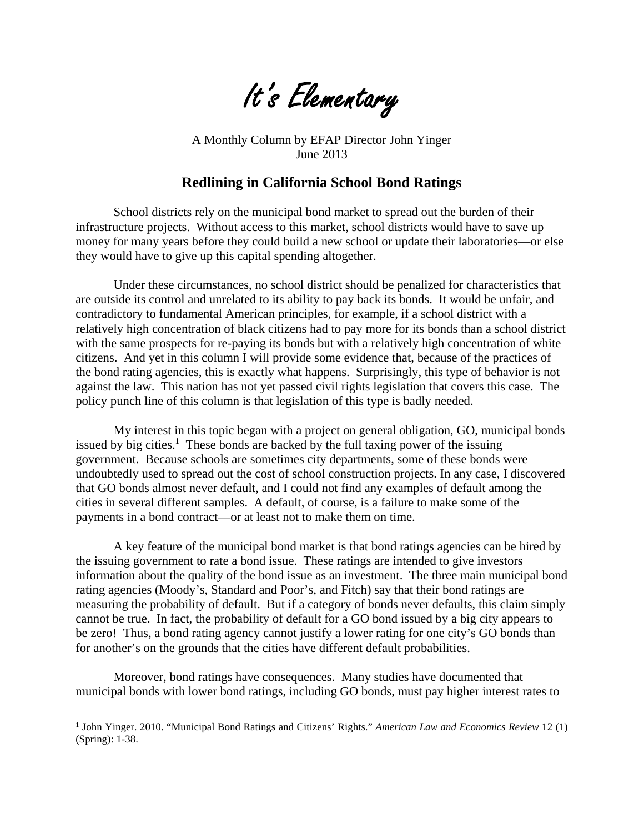

A Monthly Column by EFAP Director John Yinger June 2013

## **Redlining in California School Bond Ratings**

School districts rely on the municipal bond market to spread out the burden of their infrastructure projects. Without access to this market, school districts would have to save up money for many years before they could build a new school or update their laboratories—or else they would have to give up this capital spending altogether.

Under these circumstances, no school district should be penalized for characteristics that are outside its control and unrelated to its ability to pay back its bonds. It would be unfair, and contradictory to fundamental American principles, for example, if a school district with a relatively high concentration of black citizens had to pay more for its bonds than a school district with the same prospects for re-paying its bonds but with a relatively high concentration of white citizens. And yet in this column I will provide some evidence that, because of the practices of the bond rating agencies, this is exactly what happens. Surprisingly, this type of behavior is not against the law. This nation has not yet passed civil rights legislation that covers this case. The policy punch line of this column is that legislation of this type is badly needed.

My interest in this topic began with a project on general obligation, GO, municipal bonds issued by big cities.<sup>1</sup> These bonds are backed by the full taxing power of the issuing government. Because schools are sometimes city departments, some of these bonds were undoubtedly used to spread out the cost of school construction projects. In any case, I discovered that GO bonds almost never default, and I could not find any examples of default among the cities in several different samples. A default, of course, is a failure to make some of the payments in a bond contract—or at least not to make them on time.

A key feature of the municipal bond market is that bond ratings agencies can be hired by the issuing government to rate a bond issue. These ratings are intended to give investors information about the quality of the bond issue as an investment. The three main municipal bond rating agencies (Moody's, Standard and Poor's, and Fitch) say that their bond ratings are measuring the probability of default. But if a category of bonds never defaults, this claim simply cannot be true. In fact, the probability of default for a GO bond issued by a big city appears to be zero! Thus, a bond rating agency cannot justify a lower rating for one city's GO bonds than for another's on the grounds that the cities have different default probabilities.

Moreover, bond ratings have consequences. Many studies have documented that municipal bonds with lower bond ratings, including GO bonds, must pay higher interest rates to

l

<sup>1</sup> John Yinger. 2010. "Municipal Bond Ratings and Citizens' Rights." *American Law and Economics Review* 12 (1) (Spring): 1-38.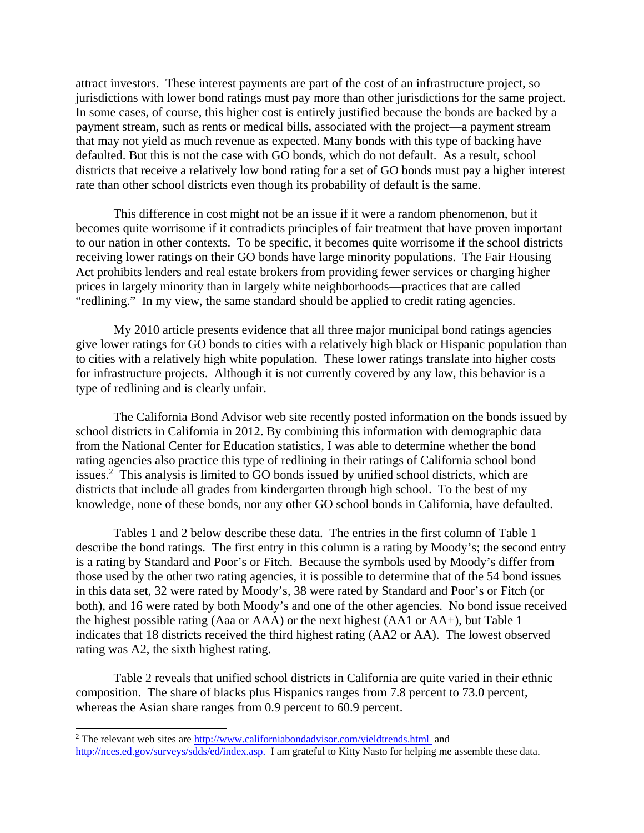attract investors. These interest payments are part of the cost of an infrastructure project, so jurisdictions with lower bond ratings must pay more than other jurisdictions for the same project. In some cases, of course, this higher cost is entirely justified because the bonds are backed by a payment stream, such as rents or medical bills, associated with the project—a payment stream that may not yield as much revenue as expected. Many bonds with this type of backing have defaulted. But this is not the case with GO bonds, which do not default. As a result, school districts that receive a relatively low bond rating for a set of GO bonds must pay a higher interest rate than other school districts even though its probability of default is the same.

This difference in cost might not be an issue if it were a random phenomenon, but it becomes quite worrisome if it contradicts principles of fair treatment that have proven important to our nation in other contexts. To be specific, it becomes quite worrisome if the school districts receiving lower ratings on their GO bonds have large minority populations. The Fair Housing Act prohibits lenders and real estate brokers from providing fewer services or charging higher prices in largely minority than in largely white neighborhoods—practices that are called "redlining." In my view, the same standard should be applied to credit rating agencies.

My 2010 article presents evidence that all three major municipal bond ratings agencies give lower ratings for GO bonds to cities with a relatively high black or Hispanic population than to cities with a relatively high white population. These lower ratings translate into higher costs for infrastructure projects. Although it is not currently covered by any law, this behavior is a type of redlining and is clearly unfair.

The California Bond Advisor web site recently posted information on the bonds issued by school districts in California in 2012. By combining this information with demographic data from the National Center for Education statistics, I was able to determine whether the bond rating agencies also practice this type of redlining in their ratings of California school bond issues.<sup>2</sup> This analysis is limited to GO bonds issued by unified school districts, which are districts that include all grades from kindergarten through high school. To the best of my knowledge, none of these bonds, nor any other GO school bonds in California, have defaulted.

Tables 1 and 2 below describe these data. The entries in the first column of Table 1 describe the bond ratings. The first entry in this column is a rating by Moody's; the second entry is a rating by Standard and Poor's or Fitch. Because the symbols used by Moody's differ from those used by the other two rating agencies, it is possible to determine that of the 54 bond issues in this data set, 32 were rated by Moody's, 38 were rated by Standard and Poor's or Fitch (or both), and 16 were rated by both Moody's and one of the other agencies. No bond issue received the highest possible rating (Aaa or AAA) or the next highest (AA1 or AA+), but Table 1 indicates that 18 districts received the third highest rating (AA2 or AA). The lowest observed rating was A2, the sixth highest rating.

Table 2 reveals that unified school districts in California are quite varied in their ethnic composition. The share of blacks plus Hispanics ranges from 7.8 percent to 73.0 percent, whereas the Asian share ranges from 0.9 percent to 60.9 percent.

 $\overline{a}$ 

<sup>&</sup>lt;sup>2</sup> The relevant web sites are <http://www.californiabondadvisor.com/yieldtrends.html> and <http://nces.ed.gov/surveys/sdds/ed/index.asp>. I am grateful to Kitty Nasto for helping me assemble these data.